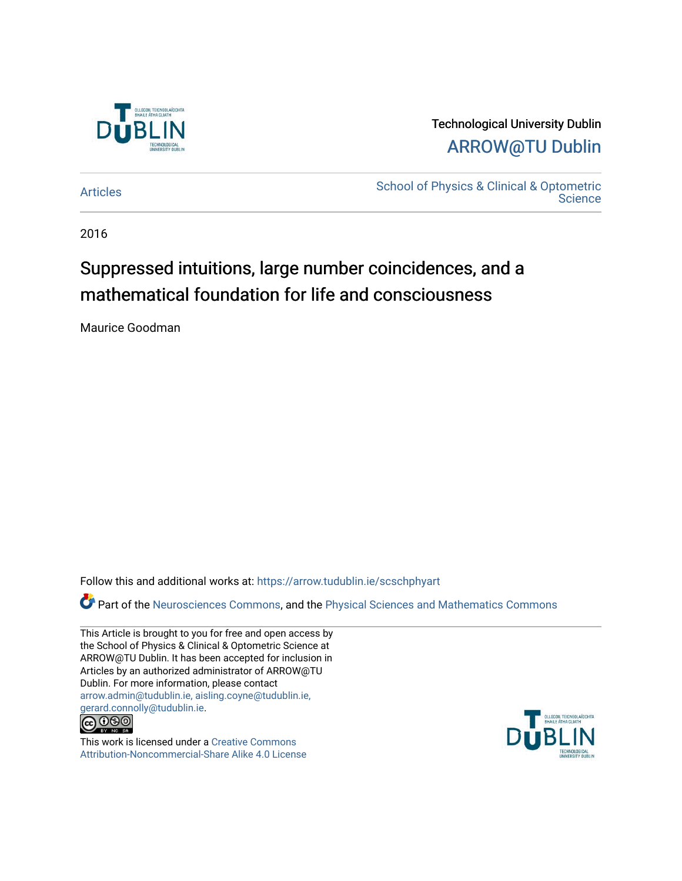

### Technological University Dublin [ARROW@TU Dublin](https://arrow.tudublin.ie/)

[Articles](https://arrow.tudublin.ie/scschphyart) [School of Physics & Clinical & Optometric](https://arrow.tudublin.ie/scschphy)  **Science** 

2016

## Suppressed intuitions, large number coincidences, and a mathematical foundation for life and consciousness

Maurice Goodman

Follow this and additional works at: [https://arrow.tudublin.ie/scschphyart](https://arrow.tudublin.ie/scschphyart?utm_source=arrow.tudublin.ie%2Fscschphyart%2F164&utm_medium=PDF&utm_campaign=PDFCoverPages)

Part of the [Neurosciences Commons](http://network.bepress.com/hgg/discipline/1010?utm_source=arrow.tudublin.ie%2Fscschphyart%2F164&utm_medium=PDF&utm_campaign=PDFCoverPages), and the [Physical Sciences and Mathematics Commons](http://network.bepress.com/hgg/discipline/114?utm_source=arrow.tudublin.ie%2Fscschphyart%2F164&utm_medium=PDF&utm_campaign=PDFCoverPages) 

This Article is brought to you for free and open access by the School of Physics & Clinical & Optometric Science at ARROW@TU Dublin. It has been accepted for inclusion in Articles by an authorized administrator of ARROW@TU Dublin. For more information, please contact [arrow.admin@tudublin.ie, aisling.coyne@tudublin.ie,](mailto:arrow.admin@tudublin.ie,%20aisling.coyne@tudublin.ie,%20gerard.connolly@tudublin.ie)  [gerard.connolly@tudublin.ie](mailto:arrow.admin@tudublin.ie,%20aisling.coyne@tudublin.ie,%20gerard.connolly@tudublin.ie).



This work is licensed under a [Creative Commons](http://creativecommons.org/licenses/by-nc-sa/4.0/) [Attribution-Noncommercial-Share Alike 4.0 License](http://creativecommons.org/licenses/by-nc-sa/4.0/)

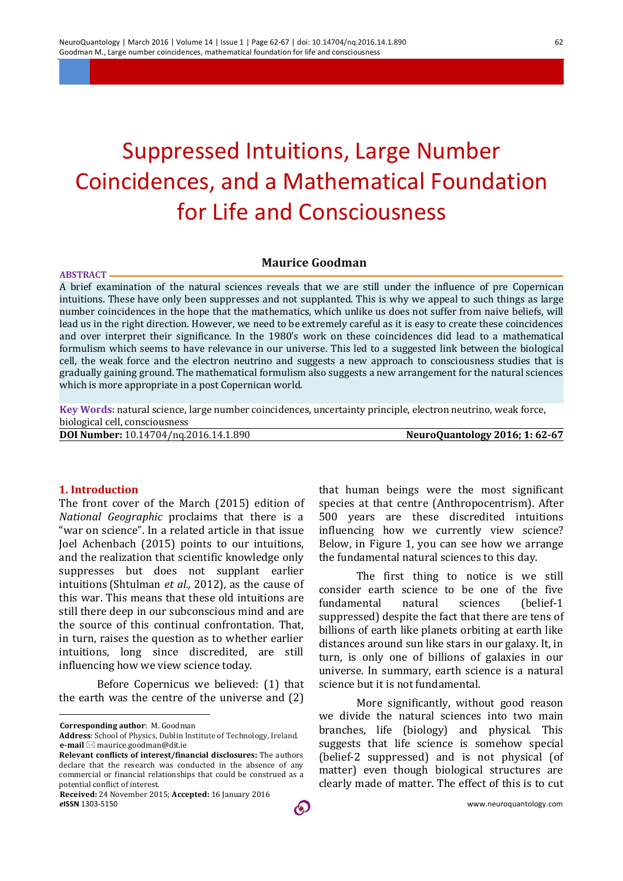# Suppressed Intuitions, Large Number Coincidences, and a Mathematical Foundation for Life and Consciousness

#### **Maurice Goodman**

**ABSTRACT** A brief examination of the natural sciences reveals that we are still under the influence of pre Copernican intuitions. These have only been suppresses and not supplanted. This is why we appeal to such things as large number coincidences in the hope that the mathematics, which unlike us does not suffer from naive beliefs, will lead us in the right direction. However, we need to be extremely careful as it is easy to create these coincidences and over interpret their significance. In the 1980's work on these coincidences did lead to a mathematical formulism which seems to have relevance in our universe. This led to a suggested link between the biological cell, the weak force and the electron neutrino and suggests a new approach to consciousness studies that is gradually gaining ground. The mathematical formulism also suggests a new arrangement for the natural sciences which is more appropriate in a post Copernican world.

**Key Words:** natural science, large number coincidences, uncertainty principle, electron neutrino, weak force, biological cell, consciousness

**DOI Number:** 10.14704/nq.2016.14.1.890 **NeuroQuantology 2016; 1: 62-67**

#### **1. Introduction**

The front cover of the March (2015) edition of *National Geographic* proclaims that there is a "war on science". In a related article in that issue Joel Achenbach (2015) points to our intuitions, and the realization that scientific knowledge only suppresses but does not supplant earlier intuitions (Shtulman *et al.,* 2012), as the cause of this war. This means that these old intuitions are still there deep in our subconscious mind and are the source of this continual confrontation. That, in turn, raises the question as to whether earlier intuitions, long since discredited, are still influencing how we view science today.

Before Copernicus we believed: (1) that the earth was the centre of the universe and (2)

**Corresponding author**: M. Goodman

<u>.</u>

that human beings were the most significant species at that centre (Anthropocentrism). After 500 years are these discredited intuitions influencing how we currently view science? Below, in Figure 1, you can see how we arrange the fundamental natural sciences to this day.

The first thing to notice is we still consider earth science to be one of the five fundamental natural sciences (belief-1 suppressed) despite the fact that there are tens of billions of earth like planets orbiting at earth like distances around sun like stars in our galaxy. It, in turn, is only one of billions of galaxies in our universe. In summary, earth science is a natural science but it is not fundamental.

More significantly, without good reason we divide the natural sciences into two main branches, life (biology) and physical. This suggests that life science is somehow special (belief-2 suppressed) and is not physical (of matter) even though biological structures are clearly made of matter. The effect of this is to cut

**Address**: School of Physics, Dublin Institute of Technology, Ireland.  **e-mail** maurice.goodman@dit.ie

**Relevant conflicts of interest/financial disclosures:** The authors declare that the research was conducted in the absence of any commercial or financial relationships that could be construed as a potential conflict of interest.

*e***ISSN** 1303-5150 www.neuroquantology.com  **Received:** 24 November 2015; **Accepted:** 16 January 2016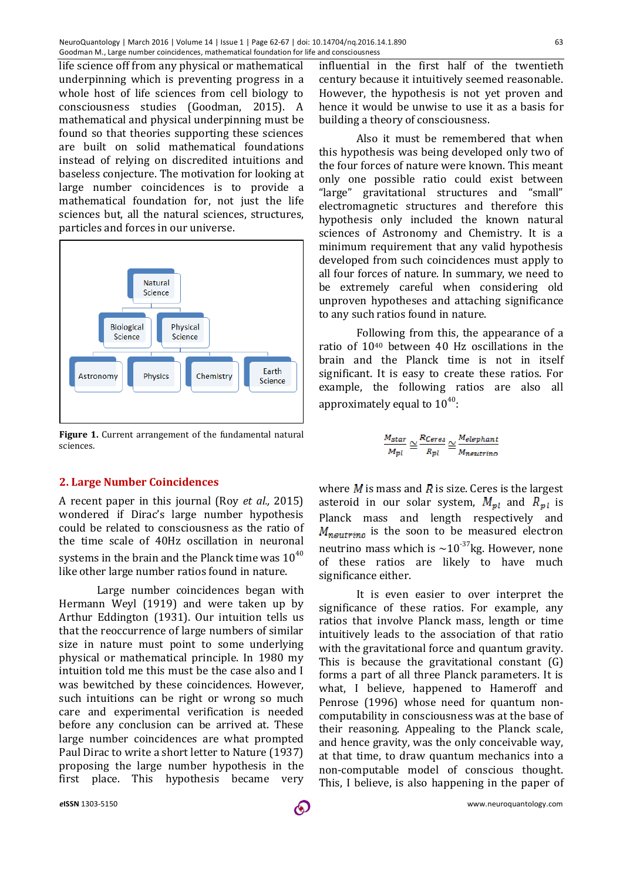life science off from any physical or mathematical underpinning which is preventing progress in a whole host of life sciences from cell biology to consciousness studies (Goodman, 2015). A mathematical and physical underpinning must be found so that theories supporting these sciences are built on solid mathematical foundations instead of relying on discredited intuitions and baseless conjecture. The motivation for looking at large number coincidences is to provide a mathematical foundation for, not just the life sciences but, all the natural sciences, structures, particles and forces in our universe.



**Figure 1.** Current arrangement of the fundamental natural sciences.

#### **2. Large Number Coincidences**

A recent paper in this journal (Roy *et al.,* 2015) wondered if Dirac's large number hypothesis could be related to consciousness as the ratio of the time scale of 40Hz oscillation in neuronal systems in the brain and the Planck time was  $10^{40}$ like other large number ratios found in nature.

Large number coincidences began with Hermann Weyl (1919) and were taken up by Arthur Eddington (1931). Our intuition tells us that the reoccurrence of large numbers of similar size in nature must point to some underlying physical or mathematical principle. In 1980 my intuition told me this must be the case also and I was bewitched by these coincidences. However, such intuitions can be right or wrong so much care and experimental verification is needed before any conclusion can be arrived at. These large number coincidences are what prompted Paul Dirac to write a short letter to Nature (1937) proposing the large number hypothesis in the first place. This hypothesis became very

influential in the first half of the twentieth century because it intuitively seemed reasonable. However, the hypothesis is not yet proven and hence it would be unwise to use it as a basis for building a theory of consciousness.

Also it must be remembered that when this hypothesis was being developed only two of the four forces of nature were known. This meant only one possible ratio could exist between "large" gravitational structures and "small" electromagnetic structures and therefore this hypothesis only included the known natural sciences of Astronomy and Chemistry. It is a minimum requirement that any valid hypothesis developed from such coincidences must apply to all four forces of nature. In summary, we need to be extremely careful when considering old unproven hypotheses and attaching significance to any such ratios found in nature.

Following from this, the appearance of a ratio of 1040 between 40 Hz oscillations in the brain and the Planck time is not in itself significant. It is easy to create these ratios. For example, the following ratios are also all approximately equal to  $10^{40}$ :

$$
\frac{M_{star}}{M_{pl}} \cong \frac{R_{Ceres}}{R_{pl}} \cong \frac{M_{elephant}}{M_{neutrino}}
$$

where  $M$  is mass and  $\bar{R}$  is size. Ceres is the largest asteroid in our solar system,  $M_{nl}$  and  $R_{nl}$  is Planck mass and length respectively and  $M_{neutrino}$  is the soon to be measured electron neutrino mass which is  $\sim 10^{-37}$ kg. However, none of these ratios are likely to have much significance either.

It is even easier to over interpret the significance of these ratios. For example, any ratios that involve Planck mass, length or time intuitively leads to the association of that ratio with the gravitational force and quantum gravity. This is because the gravitational constant (G) forms a part of all three Planck parameters. It is what, I believe, happened to Hameroff and Penrose (1996) whose need for quantum noncomputability in consciousness was at the base of their reasoning. Appealing to the Planck scale, and hence gravity, was the only conceivable way, at that time, to draw quantum mechanics into a non-computable model of conscious thought. This, I believe, is also happening in the paper of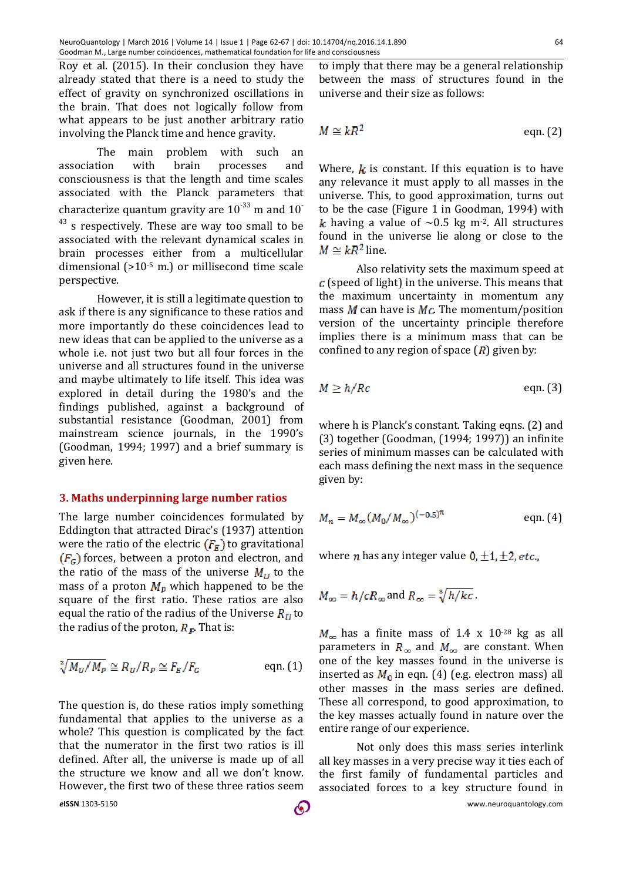Roy et al. (2015). In their conclusion they have already stated that there is a need to study the effect of gravity on synchronized oscillations in the brain. That does not logically follow from what appears to be just another arbitrary ratio involving the Planck time and hence gravity.

The main problem with such an association with brain processes and consciousness is that the length and time scales associated with the Planck parameters that characterize quantum gravity are  $10^{-33}$  m and  $10^{-7}$ <sup>43</sup> s respectively. These are way too small to be associated with the relevant dynamical scales in brain processes either from a multicellular dimensional (>10-5 m.) or millisecond time scale perspective.

However, it is still a legitimate question to ask if there is any significance to these ratios and more importantly do these coincidences lead to new ideas that can be applied to the universe as a whole i.e. not just two but all four forces in the universe and all structures found in the universe and maybe ultimately to life itself. This idea was explored in detail during the 1980's and the findings published, against a background of substantial resistance (Goodman, 2001) from mainstream science journals, in the 1990's (Goodman, 1994; 1997) and a brief summary is given here.

#### **3. Maths underpinning large number ratios**

The large number coincidences formulated by Eddington that attracted Dirac's (1937) attention were the ratio of the electric  $(F<sub>K</sub>)$  to gravitational  $(F_G)$  forces, between a proton and electron, and the ratio of the mass of the universe  $M_U$  to the mass of a proton  $M_p$  which happened to be the square of the first ratio. These ratios are also equal the ratio of the radius of the Universe  $R_{II}$  to the radius of the proton,  $R_{\rm I\!P}$ . That is:

$$
\sqrt[2]{M_U/M_P} \cong R_U/R_P \cong F_E/F_G \qquad \text{eqn. (1)}
$$

The question is, do these ratios imply something fundamental that applies to the universe as a whole? This question is complicated by the fact that the numerator in the first two ratios is ill defined. After all, the universe is made up of all the structure we know and all we don't know. However, the first two of these three ratios seem

to imply that there may be a general relationship between the mass of structures found in the universe and their size as follows:

$$
M \cong kR^2 \qquad \qquad \text{eqn. (2)}
$$

Where,  $k$  is constant. If this equation is to have any relevance it must apply to all masses in the universe. This, to good approximation, turns out to be the case (Figure 1 in Goodman, 1994) with k having a value of  $\sim$ 0.5 kg m<sup>-2</sup>. All structures found in the universe lie along or close to the  $M \simeq kR^2$  line.

Also relativity sets the maximum speed at  $c$  (speed of light) in the universe. This means that the maximum uncertainty in momentum any mass  $M$  can have is  $Mc$ . The momentum/position version of the uncertainty principle therefore implies there is a minimum mass that can be confined to any region of space  $(R)$  given by:

$$
M \ge h/Rc \qquad \qquad \text{eqn. (3)}
$$

where h is Planck's constant. Taking eqns. (2) and (3) together (Goodman, (1994; 1997)) an infinite series of minimum masses can be calculated with each mass defining the next mass in the sequence given by:

$$
M_n = M_{\infty} (M_0 / M_{\infty})^{(-0.5)^n}
$$
 eqn. (4)

where *n* has any integer value  $0, \pm 1, \pm 2, etc.,$ 

$$
M_{\infty} = h/cR_{\infty}
$$
 and  $R_{\infty} = \sqrt[8]{h/kc}$ .

 $M_{\infty}$  has a finite mass of 1.4 x 10<sup>-28</sup> kg as all parameters in  $R_{\infty}$  and  $M_{\infty}$  are constant. When one of the key masses found in the universe is inserted as  $M_{\rm n}$  in eqn. (4) (e.g. electron mass) all other masses in the mass series are defined. These all correspond, to good approximation, to the key masses actually found in nature over the entire range of our experience.

Not only does this mass series interlink all key masses in a very precise way it ties each of the first family of fundamental particles and associated forces to a key structure found in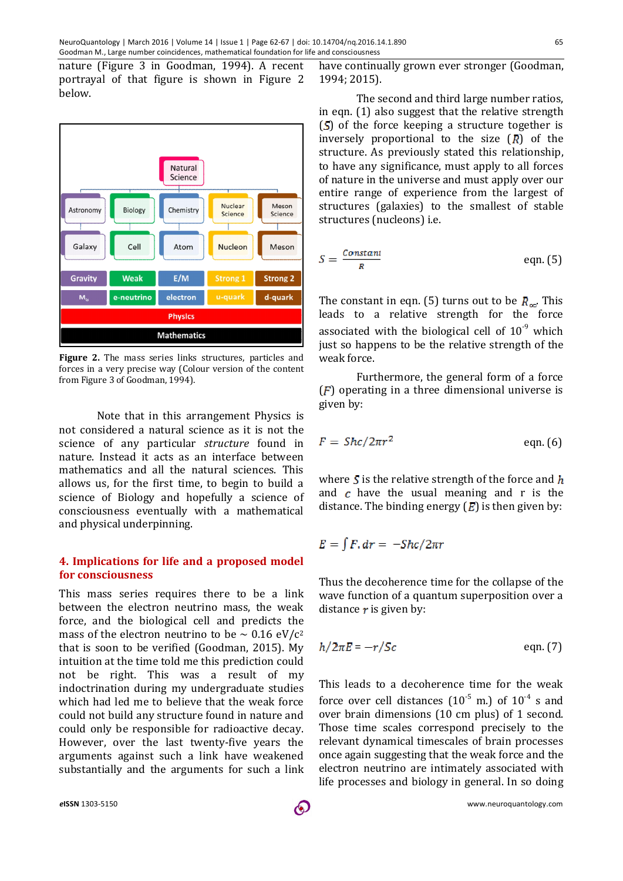nature (Figure 3 in Goodman, 1994). A recent portrayal of that figure is shown in Figure 2 below.



**Figure 2.** The mass series links structures, particles and forces in a very precise way (Colour version of the content from Figure 3 of Goodman, 1994).

Note that in this arrangement Physics is not considered a natural science as it is not the science of any particular *structure* found in nature. Instead it acts as an interface between mathematics and all the natural sciences. This allows us, for the first time, to begin to build a science of Biology and hopefully a science of consciousness eventually with a mathematical and physical underpinning.

#### **4. Implications for life and a proposed model for consciousness**

This mass series requires there to be a link between the electron neutrino mass, the weak force, and the biological cell and predicts the mass of the electron neutrino to be  $\sim 0.16 \text{ eV}/c^2$ that is soon to be verified (Goodman, 2015). My intuition at the time told me this prediction could not be right. This was a result of my indoctrination during my undergraduate studies which had led me to believe that the weak force could not build any structure found in nature and could only be responsible for radioactive decay. However, over the last twenty-five years the arguments against such a link have weakened substantially and the arguments for such a link

have continually grown ever stronger (Goodman, 1994; 2015).

The second and third large number ratios, in eqn. (1) also suggest that the relative strength  $(5)$  of the force keeping a structure together is inversely proportional to the size  $(R)$  of the structure. As previously stated this relationship, to have any significance, must apply to all forces of nature in the universe and must apply over our entire range of experience from the largest of structures (galaxies) to the smallest of stable structures (nucleons) i.e.

$$
S = \frac{\text{Constant}}{R} \quad \text{eqn. (5)}
$$

The constant in eqn. (5) turns out to be  $R_{\infty}$ . This leads to a relative strength for the force associated with the biological cell of  $10^{-9}$  which just so happens to be the relative strength of the weak force.

Furthermore, the general form of a force  $(F)$  operating in a three dimensional universe is given by:

$$
F = Shc/2\pi r^2
$$
 eqn. (6)

where  $S$  is the relative strength of the force and  $h$ and  $\epsilon$  have the usual meaning and r is the distance. The binding energy  $(E)$  is then given by:

$$
E=\int F, dr=-Shc/2\pi r
$$

Thus the decoherence time for the collapse of the wave function of a quantum superposition over a distance  $\boldsymbol{r}$  is given by:

$$
h/2\pi E = -r/Sc
$$
 eqn. (7)

This leads to a decoherence time for the weak force over cell distances  $(10^{-5} \text{ m.})$  of  $10^{-4}$  s and over brain dimensions (10 cm plus) of 1 second. Those time scales correspond precisely to the relevant dynamical timescales of brain processes once again suggesting that the weak force and the electron neutrino are intimately associated with life processes and biology in general. In so doing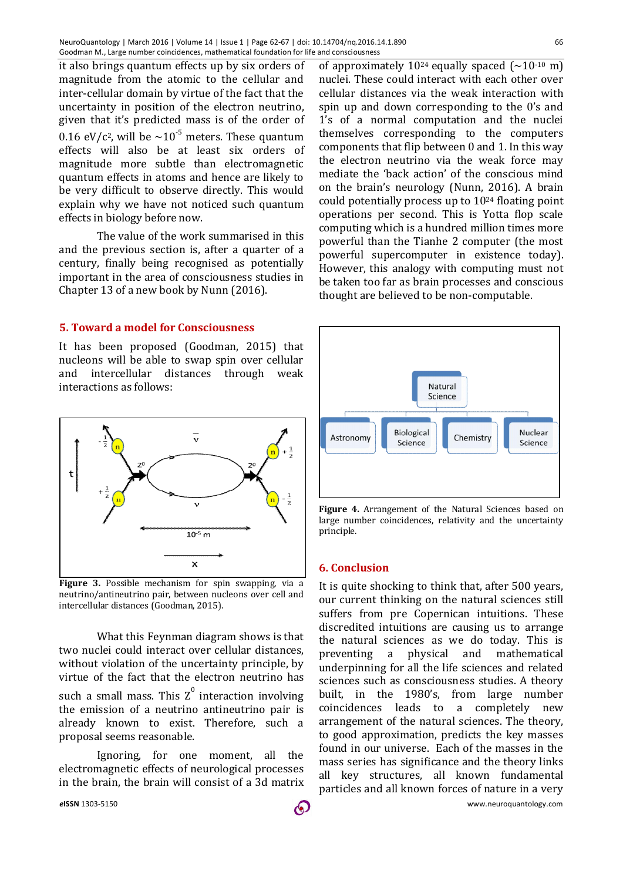it also brings quantum effects up by six orders of magnitude from the atomic to the cellular and inter-cellular domain by virtue of the fact that the uncertainty in position of the electron neutrino, given that it's predicted mass is of the order of 0.16 eV/c<sup>2</sup>, will be  $\sim 10^{-5}$  meters. These quantum effects will also be at least six orders of magnitude more subtle than electromagnetic quantum effects in atoms and hence are likely to be very difficult to observe directly. This would explain why we have not noticed such quantum effects in biology before now.

The value of the work summarised in this and the previous section is, after a quarter of a century, finally being recognised as potentially important in the area of consciousness studies in Chapter 13 of a new book by Nunn (2016).

#### **5. Toward a model for Consciousness**

It has been proposed (Goodman, 2015) that nucleons will be able to swap spin over cellular and intercellular distances through weak interactions as follows:



**Figure 3.** Possible mechanism for spin swapping, via a neutrino/antineutrino pair, between nucleons over cell and intercellular distances (Goodman, 2015).

What this Feynman diagram shows is that two nuclei could interact over cellular distances, without violation of the uncertainty principle, by virtue of the fact that the electron neutrino has such a small mass. This  $Z^0$  interaction involving the emission of a neutrino antineutrino pair is already known to exist. Therefore, such a proposal seems reasonable.

Ignoring, for one moment, all the electromagnetic effects of neurological processes in the brain, the brain will consist of a 3d matrix

of approximately 10<sup>24</sup> equally spaced  $({\sim}10^{-10} \text{ m})$ nuclei. These could interact with each other over cellular distances via the weak interaction with spin up and down corresponding to the 0's and 1's of a normal computation and the nuclei themselves corresponding to the computers components that flip between 0 and 1. In this way the electron neutrino via the weak force may mediate the 'back action' of the conscious mind on the brain's neurology (Nunn, 2016). A brain could potentially process up to 1024 floating point operations per second. This is Yotta flop scale computing which is a hundred million times more powerful than the Tianhe 2 computer (the most powerful supercomputer in existence today). However, this analogy with computing must not be taken too far as brain processes and conscious thought are believed to be non-computable.



**Figure 4.** Arrangement of the Natural Sciences based on large number coincidences, relativity and the uncertainty principle.

#### **6. Conclusion**

It is quite shocking to think that, after 500 years, our current thinking on the natural sciences still suffers from pre Copernican intuitions. These discredited intuitions are causing us to arrange the natural sciences as we do today. This is preventing a physical and mathematical underpinning for all the life sciences and related sciences such as consciousness studies. A theory built, in the 1980's, from large number coincidences leads to a completely new arrangement of the natural sciences. The theory, to good approximation, predicts the key masses found in our universe. Each of the masses in the mass series has significance and the theory links all key structures, all known fundamental particles and all known forces of nature in a very